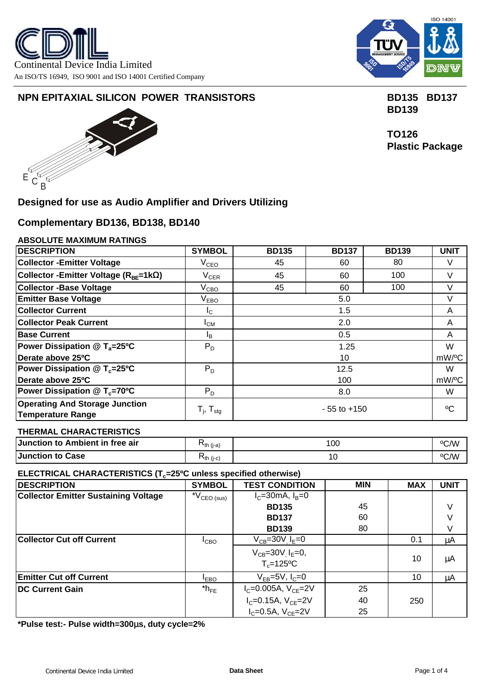



# **NPN EPITAXIAL SILICON POWER TRANSISTORS BD135 BD137**



# **Designed for use as Audio Amplifier and Drivers Utilizing**

# **Complementary BD136, BD138, BD140**

## **ABSOLUTE MAXIMUM RATINGS**

| <b>DESCRIPTION</b>                                                | <b>SYMBOL</b>               | <b>BD135</b>              | <b>BD137</b> | <b>BD139</b> | <b>UNIT</b> |  |
|-------------------------------------------------------------------|-----------------------------|---------------------------|--------------|--------------|-------------|--|
| <b>Collector - Emitter Voltage</b>                                | $\rm V_{CEO}$               | 45                        | 60           | 80           | V           |  |
| Collector - Emitter Voltage (R <sub>BF</sub> =1kW)                | $V_{CER}$                   | 45                        | V            |              |             |  |
| <b>Collector -Base Voltage</b>                                    | $\rm V_{CBO}$               | 45                        | 100          | V            |             |  |
| <b>Emitter Base Voltage</b>                                       | $\mathsf{V}_{\mathsf{EBO}}$ | 5.0                       |              |              |             |  |
| <b>Collector Current</b>                                          | Ic.                         | 1.5                       |              |              |             |  |
| <b>Collector Peak Current</b>                                     | $I_{CM}$                    | 2.0                       |              |              |             |  |
| <b>Base Current</b>                                               | IB.                         | 0.5                       |              |              |             |  |
| Power Dissipation $@T_a=25°C$                                     | $P_D$                       | 1.25                      |              |              |             |  |
| Derate above 25°C                                                 |                             | mW/°C<br>10               |              |              |             |  |
| Power Dissipation $@T_c=25°C$                                     | $P_D$                       | 12.5                      |              |              |             |  |
| Derate above 25°C                                                 |                             | mW/ <sup>o</sup> C<br>100 |              |              |             |  |
| Power Dissipation $@T_c=70°C$                                     | $P_D$                       | 8.0                       |              |              |             |  |
| <b>Operating And Storage Junction</b><br><b>Temperature Range</b> | $T_{j}$ , $T_{\text{stg}}$  | $-55$ to $+150$           |              |              |             |  |

## **THERMAL CHARACTERISTICS**

| Junction to Ambient in free air | $N_{th}$ (i-a) | 100            | °C/W |
|---------------------------------|----------------|----------------|------|
| Junction to Case                | ``th (j-c)     | $\overline{1}$ | °C/W |

## **ELECTRICAL CHARACTERISTICS (Tc=25ºC unless specified otherwise)**

| <b>DESCRIPTION</b>                          | <b>SYMBOL</b>                  | <b>TEST CONDITION</b>                                      | <b>MIN</b> | <b>MAX</b> | <b>UNIT</b> |
|---------------------------------------------|--------------------------------|------------------------------------------------------------|------------|------------|-------------|
| <b>Collector Emitter Sustaining Voltage</b> | $^{\star}{\rm V_{CEO\,(sus)}}$ | $I_c = 30$ mA, $I_B = 0$                                   |            |            |             |
|                                             |                                | <b>BD135</b>                                               | 45         |            | V           |
|                                             |                                | <b>BD137</b>                                               | 60         |            |             |
|                                             |                                | <b>BD139</b>                                               | 80         |            |             |
| <b>Collector Cut off Current</b>            | ICBO                           | $V_{CB} = 30V$ , $I_E = 0$                                 |            | 0.1        | μA          |
|                                             |                                | $V_{CB} = 30V$ , $I_E = 0$ ,<br>$T_c = 125$ <sup>o</sup> C |            | 10         | μA          |
| <b>Emitter Cut off Current</b>              | <b>IEBO</b>                    | $V_{FB} = 5V$ , $I_C = 0$                                  |            | 10         | μA          |
| <b>IDC Current Gain</b>                     | $*h_{FE}$                      | $I_{C} = 0.005A, V_{CE} = 2V$                              | 25         |            |             |
|                                             |                                | $I_{C} = 0.15A, V_{CE} = 2V$                               | 40         | 250        |             |
|                                             |                                | $I_{C} = 0.5A, V_{CE} = 2V$                                | 25         |            |             |

**\*Pulse test:- Pulse width=300ms, duty cycle=2%** 

 **BD139**

 **TO126 Plastic Package**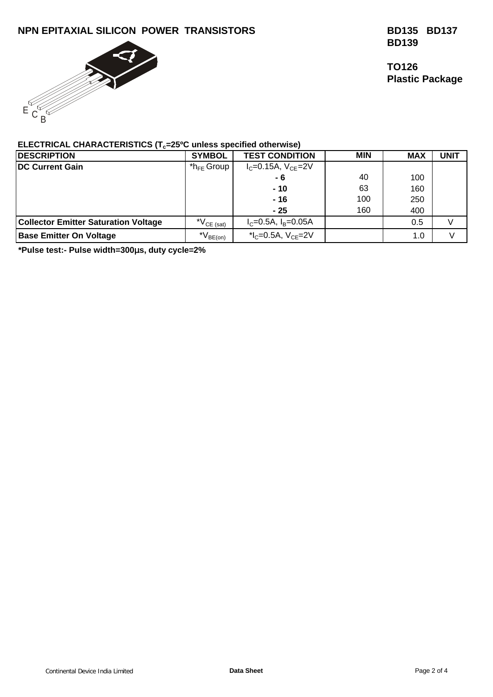# **NPN EPITAXIAL SILICON POWER TRANSISTORS BD135 BD137**



 **BD139**

 **TO126 Plastic Package**

## **ELECTRICAL CHARACTERISTICS (Tc=25ºC unless specified otherwise)**

| <b>DESCRIPTION</b>                          | <b>SYMBOL</b>                          | <b>TEST CONDITION</b>          | <b>MIN</b> | <b>MAX</b> | <b>UNIT</b> |
|---------------------------------------------|----------------------------------------|--------------------------------|------------|------------|-------------|
| <b>DC Current Gain</b>                      | $*$ h <sub>FF</sub> Group              | $I_{C} = 0.15A, V_{CF} = 2V$   |            |            |             |
|                                             |                                        | $-6$                           | 40         | 100        |             |
|                                             |                                        | $-10$                          | 63         | 160        |             |
|                                             |                                        | $-16$                          | 100        | 250        |             |
|                                             |                                        | $-25$                          | 160        | 400        |             |
| <b>Collector Emitter Saturation Voltage</b> | $N_{CE (sat)}$                         | $I_c = 0.5A$ , $I_B = 0.05A$   |            | 0.5        |             |
| <b>Base Emitter On Voltage</b>              | $^{\star}\mathsf{V}_{\mathsf{BE(on)}}$ | * $I_c = 0.5A$ , $V_{CF} = 2V$ |            | 1.0        |             |

**\*Pulse test:- Pulse width=300ms, duty cycle=2%**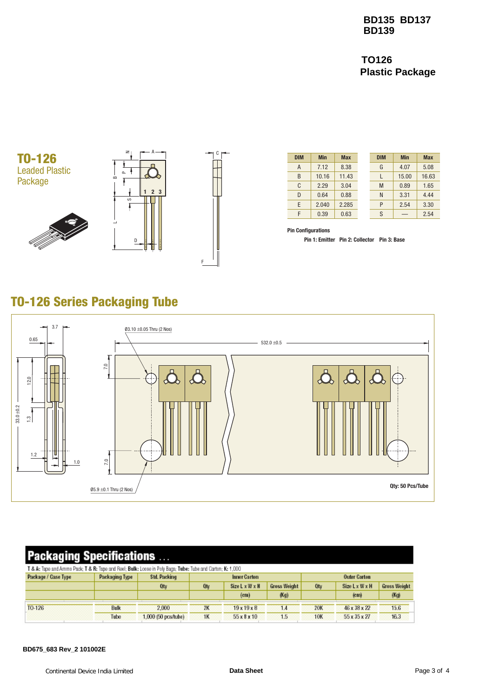**BD135 BD137 BD139**

**TO126 Plastic Package**







| <b>DIM</b> | <b>Min</b> | <b>Max</b> | <b>DIM</b> | <b>Min</b> | <b>Max</b> |
|------------|------------|------------|------------|------------|------------|
| A          | 7.12       | 8.38       | G          | 4.07       | 5.08       |
| B          | 10.16      | 11.43      |            | 15.00      | 16.63      |
| C          | 2.29       | 3.04       | M          | 0.89       | 1.65       |
| D          | 0.64       | 0.88       | N          | 3.31       | 4.44       |
| E          | 2.040      | 2.285      | P          | 2.54       | 3.30       |
| F          | 0.39       | 0.63       | S          |            | 2.54       |

**Pin Configurations**

**Pin 1: Emitter Pin 2: Collector Pin 3: Base**

# TO-126 Series Packaging Tube



# **Packaging Specifications ...**

| T & A: Tape and Ammo Pack; T & R: Tape and Reel; Bulk: Loose in Poly Bags; Tube: Tube and Carton; K: 1,000 |                |                       |              |                   |                     |                     |                   |                     |  |
|------------------------------------------------------------------------------------------------------------|----------------|-----------------------|--------------|-------------------|---------------------|---------------------|-------------------|---------------------|--|
| Package / Case Type                                                                                        | Packaging Type | Std. Packing          | Inner Carton |                   |                     | <b>Outer Carton</b> |                   |                     |  |
|                                                                                                            |                | Oty                   | Otv          | Size L x W x H    | <b>Gross Weight</b> | Oty                 | Size LxWxH        | <b>Gross Weight</b> |  |
|                                                                                                            |                |                       |              | (c <sub>m</sub> ) | (Kg)                |                     | (c <sub>m</sub> ) | (Kg)                |  |
| TO-126                                                                                                     | <b>Bulk</b>    | 2.000                 | 2K           | 19x19x8           | 1.4                 | 20K                 | 46 x 38 x 22      | 15.6                |  |
|                                                                                                            | Tube           | $1,000$ (50 pos/lube) | 1K           | 55x8x10           | 1.5                 | <b>10K</b>          | 55 x 35 x 27      | 16.3                |  |

#### **BD675\_683 Rev\_2 101002E**